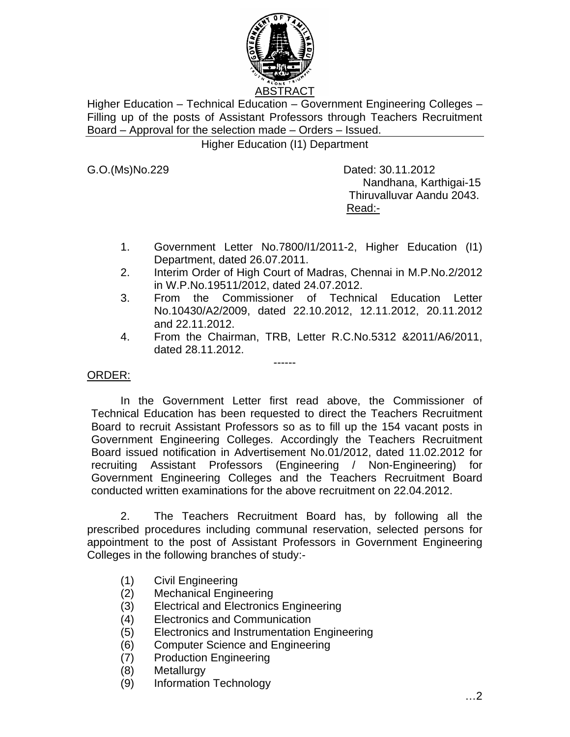

Higher Education – Technical Education – Government Engineering Colleges – Filling up of the posts of Assistant Professors through Teachers Recruitment Board – Approval for the selection made – Orders – Issued.

Higher Education (I1) Department

G.O.(Ms)No.229 Dated: 30.11.2012 Nandhana, Karthigai-15 Thiruvalluvar Aandu 2043. Read:-

- 1. Government Letter No.7800/I1/2011-2, Higher Education (I1) Department, dated 26.07.2011.
- 2. Interim Order of High Court of Madras, Chennai in M.P.No.2/2012 in W.P.No.19511/2012, dated 24.07.2012.
- 3. From the Commissioner of Technical Education Letter No.10430/A2/2009, dated 22.10.2012, 12.11.2012, 20.11.2012 and 22.11.2012.
- 4. From the Chairman, TRB, Letter R.C.No.5312 &2011/A6/2011, dated 28.11.2012.

#### ORDER:

In the Government Letter first read above, the Commissioner of Technical Education has been requested to direct the Teachers Recruitment Board to recruit Assistant Professors so as to fill up the 154 vacant posts in Government Engineering Colleges. Accordingly the Teachers Recruitment Board issued notification in Advertisement No.01/2012, dated 11.02.2012 for recruiting Assistant Professors (Engineering / Non-Engineering) for Government Engineering Colleges and the Teachers Recruitment Board conducted written examinations for the above recruitment on 22.04.2012.

------

 2. The Teachers Recruitment Board has, by following all the prescribed procedures including communal reservation, selected persons for appointment to the post of Assistant Professors in Government Engineering Colleges in the following branches of study:-

- (1) Civil Engineering
- (2) Mechanical Engineering
- (3) Electrical and Electronics Engineering
- (4) Electronics and Communication
- (5) Electronics and Instrumentation Engineering
- (6) Computer Science and Engineering
- (7) Production Engineering
- (8) Metallurgy
- (9) Information Technology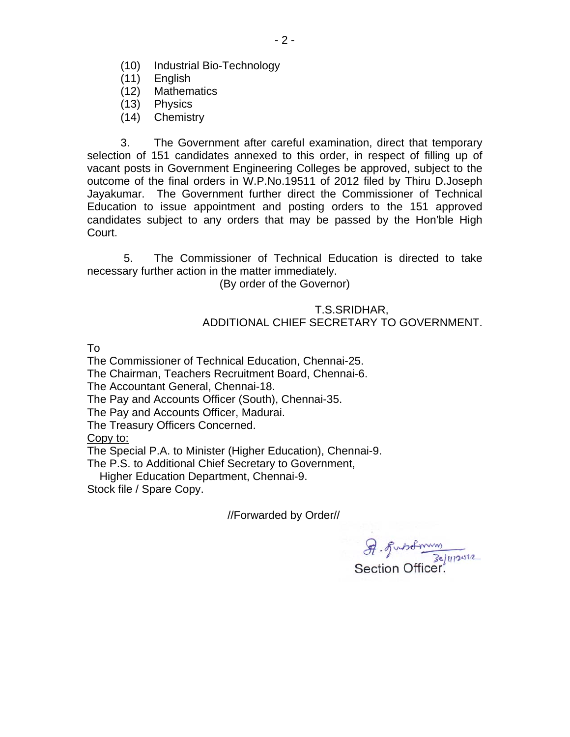- (10) Industrial Bio-Technology
- (11) English
- (12) Mathematics
- (13) Physics
- (14) Chemistry

 3. The Government after careful examination, direct that temporary selection of 151 candidates annexed to this order, in respect of filling up of vacant posts in Government Engineering Colleges be approved, subject to the outcome of the final orders in W.P.No.19511 of 2012 filed by Thiru D.Joseph Jayakumar. The Government further direct the Commissioner of Technical Education to issue appointment and posting orders to the 151 approved candidates subject to any orders that may be passed by the Hon'ble High Court.

 5. The Commissioner of Technical Education is directed to take necessary further action in the matter immediately.

(By order of the Governor)

#### T.S.SRIDHAR, ADDITIONAL CHIEF SECRETARY TO GOVERNMENT.

To

The Commissioner of Technical Education, Chennai-25.

The Chairman, Teachers Recruitment Board, Chennai-6.

The Accountant General, Chennai-18.

The Pay and Accounts Officer (South), Chennai-35.

The Pay and Accounts Officer, Madurai.

The Treasury Officers Concerned.

Copy to:

The Special P.A. to Minister (Higher Education), Chennai-9.

The P.S. to Additional Chief Secretary to Government,

Higher Education Department, Chennai-9.

Stock file / Spare Copy.

//Forwarded by Order//

A. Fustman 30/11/2012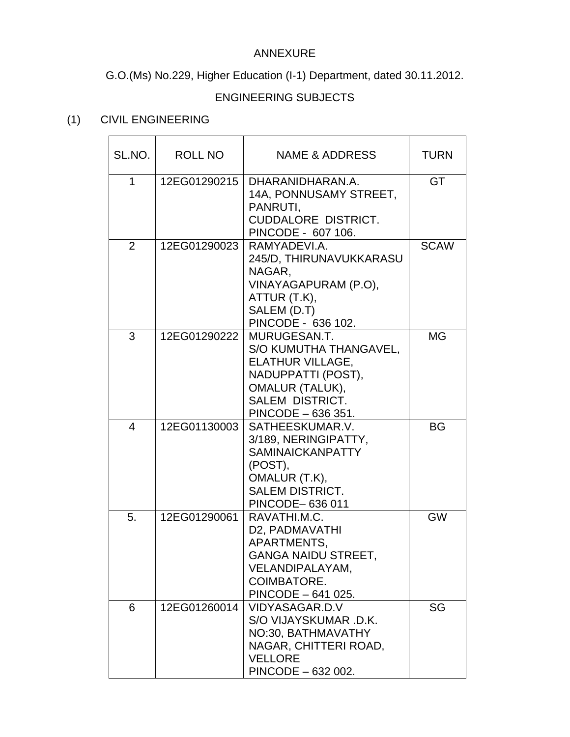### ANNEXURE

G.O.(Ms) No.229, Higher Education (I-1) Department, dated 30.11.2012.

### ENGINEERING SUBJECTS

### (1) CIVIL ENGINEERING

| SL.NO.         | ROLL NO      | NAME & ADDRESS                                                                                                                                                    | <b>TURN</b> |
|----------------|--------------|-------------------------------------------------------------------------------------------------------------------------------------------------------------------|-------------|
| 1              | 12EG01290215 | DHARANIDHARAN.A.<br>14A, PONNUSAMY STREET,<br>PANRUTI,<br><b>CUDDALORE DISTRICT.</b><br>PINCODE - 607 106.                                                        | GT          |
| 2              | 12EG01290023 | RAMYADEVI.A.<br>245/D, THIRUNAVUKKARASU<br>NAGAR,<br>VINAYAGAPURAM (P.O),<br>ATTUR (T.K),<br>SALEM (D.T)<br>PINCODE - 636 102.                                    | <b>SCAW</b> |
| 3              | 12EG01290222 | MURUGESAN.T.<br>S/O KUMUTHA THANGAVEL,<br><b>ELATHUR VILLAGE,</b><br>NADUPPATTI (POST),<br><b>OMALUR (TALUK),</b><br><b>SALEM DISTRICT.</b><br>PINCODE - 636 351. | <b>MG</b>   |
| $\overline{4}$ | 12EG01130003 | SATHEESKUMAR.V.<br>3/189, NERINGIPATTY,<br><b>SAMINAICKANPATTY</b><br>(POST),<br>OMALUR (T.K),<br><b>SALEM DISTRICT.</b><br>PINCODE-636 011                       | <b>BG</b>   |
| 5.             | 12EG01290061 | RAVATHI.M.C.<br>D2, PADMAVATHI<br>APARTMENTS,<br><b>GANGA NAIDU STREET,</b><br>VELANDIPALAYAM,<br>COIMBATORE.<br>PINCODE - 641 025.                               | GW          |
| 6              | 12EG01260014 | VIDYASAGAR.D.V<br>S/O VIJAYSKUMAR .D.K.<br>NO:30, BATHMAVATHY<br>NAGAR, CHITTERI ROAD,<br><b>VELLORE</b><br>PINCODE - 632 002.                                    | SG          |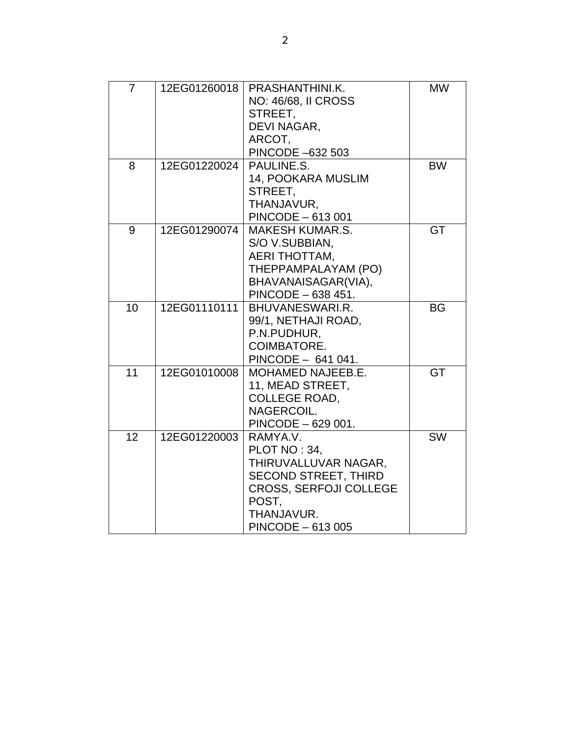| 7  | 12EG01260018 | PRASHANTHINI.K.<br><b>NO: 46/68, II CROSS</b><br>STREET,<br>DEVI NAGAR,<br>ARCOT,<br>PINCODE -632 503                                                        | <b>MW</b> |
|----|--------------|--------------------------------------------------------------------------------------------------------------------------------------------------------------|-----------|
| 8  | 12EG01220024 | PAULINE.S.<br>14, POOKARA MUSLIM<br>STREET,<br>THANJAVUR,<br>PINCODE - 613 001                                                                               | <b>BW</b> |
| 9  | 12EG01290074 | <b>MAKESH KUMAR.S.</b><br>S/O V.SUBBIAN,<br><b>AERI THOTTAM,</b><br>THEPPAMPALAYAM (PO)<br>BHAVANAISAGAR(VIA),<br>PINCODE - 638 451.                         | <b>GT</b> |
| 10 | 12EG01110111 | BHUVANESWARI.R.<br>99/1, NETHAJI ROAD,<br>P.N.PUDHUR,<br><b>COIMBATORE.</b><br>PINCODE - 641 041.                                                            | <b>BG</b> |
| 11 | 12EG01010008 | <b>MOHAMED NAJEEB.E.</b><br>11, MEAD STREET,<br><b>COLLEGE ROAD,</b><br>NAGERCOIL.<br>PINCODE - 629 001.                                                     | <b>GT</b> |
| 12 | 12EG01220003 | RAMYA.V.<br>PLOT NO: 34,<br>THIRUVALLUVAR NAGAR,<br><b>SECOND STREET, THIRD</b><br><b>CROSS, SERFOJI COLLEGE</b><br>POST,<br>THANJAVUR.<br>PINCODE - 613 005 | <b>SW</b> |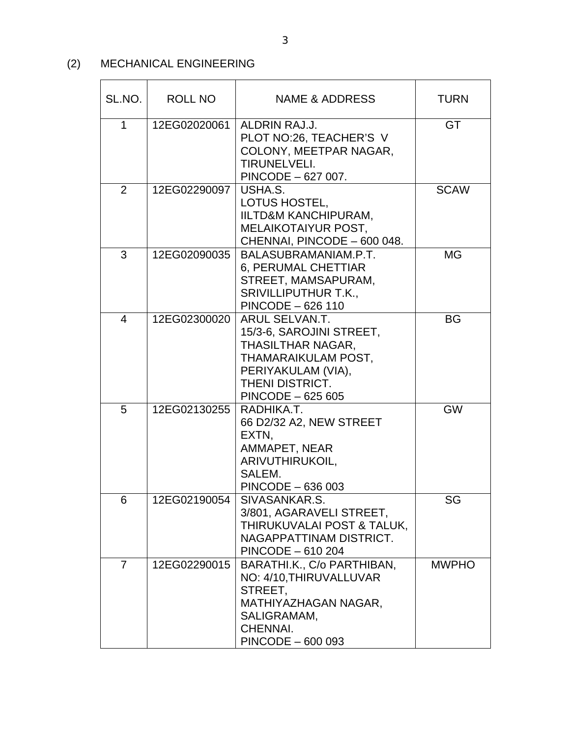## (2) MECHANICAL ENGINEERING

| SL.NO.         | <b>ROLL NO</b> | <b>NAME &amp; ADDRESS</b>                                                                                                                                   | <b>TURN</b>  |
|----------------|----------------|-------------------------------------------------------------------------------------------------------------------------------------------------------------|--------------|
| 1              | 12EG02020061   | ALDRIN RAJ.J.<br>PLOT NO:26, TEACHER'S V<br>COLONY, MEETPAR NAGAR,<br><b>TIRUNELVELI.</b><br>PINCODE - 627 007.                                             | GT           |
| 2              | 12EG02290097   | USHA.S.<br>LOTUS HOSTEL,<br>IILTD&M KANCHIPURAM,<br>MELAIKOTAIYUR POST,<br>CHENNAI, PINCODE - 600 048.                                                      | <b>SCAW</b>  |
| 3              | 12EG02090035   | BALASUBRAMANIAM.P.T.<br>6, PERUMAL CHETTIAR<br>STREET, MAMSAPURAM,<br><b>SRIVILLIPUTHUR T.K.,</b><br>PINCODE - 626 110                                      | <b>MG</b>    |
| $\overline{4}$ | 12EG02300020   | ARUL SELVAN.T.<br>15/3-6, SAROJINI STREET,<br>THASILTHAR NAGAR,<br>THAMARAIKULAM POST,<br>PERIYAKULAM (VIA),<br><b>THENI DISTRICT.</b><br>PINCODE - 625 605 | BG           |
| 5              | 12EG02130255   | RADHIKA.T.<br>66 D2/32 A2, NEW STREET<br>EXTN,<br>AMMAPET, NEAR<br>ARIVUTHIRUKOIL,<br>SALEM.<br>PINCODE - 636 003                                           | <b>GW</b>    |
| 6              | 12EG02190054   | SIVASANKAR.S.<br>3/801, AGARAVELI STREET,<br>THIRUKUVALAI POST & TALUK,<br>NAGAPPATTINAM DISTRICT.<br>PINCODE - 610 204                                     | SG           |
| 7              | 12EG02290015   | BARATHI.K., C/o PARTHIBAN,<br>NO: 4/10, THIRUVALLUVAR<br>STREET.<br>MATHIYAZHAGAN NAGAR,<br>SALIGRAMAM,<br>CHENNAI.<br>PINCODE - 600 093                    | <b>MWPHO</b> |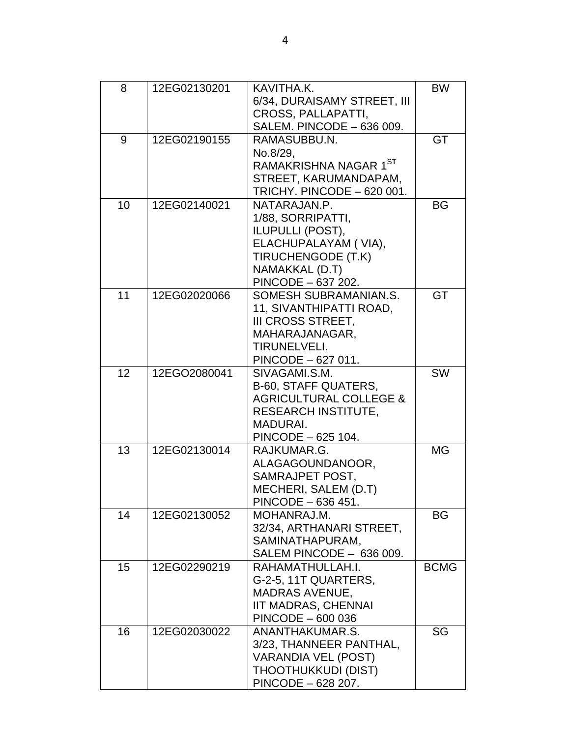| 8  | 12EG02130201 | KAVITHA.K.                        | <b>BW</b>   |
|----|--------------|-----------------------------------|-------------|
|    |              | 6/34, DURAISAMY STREET, III       |             |
|    |              | <b>CROSS, PALLAPATTI,</b>         |             |
|    |              | SALEM. PINCODE - 636 009.         |             |
| 9  | 12EG02190155 | RAMASUBBU.N.                      | GT          |
|    |              | No.8/29.                          |             |
|    |              | RAMAKRISHNA NAGAR 1ST             |             |
|    |              | STREET, KARUMANDAPAM,             |             |
|    |              | TRICHY. PINCODE - 620 001.        |             |
| 10 | 12EG02140021 | NATARAJAN.P.                      | BG          |
|    |              | 1/88, SORRIPATTI,                 |             |
|    |              | ILUPULLI (POST),                  |             |
|    |              | ELACHUPALAYAM (VIA),              |             |
|    |              | TIRUCHENGODE (T.K)                |             |
|    |              | NAMAKKAL (D.T)                    |             |
|    |              | PINCODE - 637 202.                |             |
| 11 | 12EG02020066 | SOMESH SUBRAMANIAN.S.             | GT          |
|    |              | 11, SIVANTHIPATTI ROAD,           |             |
|    |              | <b>III CROSS STREET.</b>          |             |
|    |              | MAHARAJANAGAR,                    |             |
|    |              | TIRUNELVELI.                      |             |
|    |              | PINCODE - 627 011.                |             |
| 12 | 12EGO2080041 | SIVAGAMI.S.M.                     | <b>SW</b>   |
|    |              | <b>B-60, STAFF QUATERS,</b>       |             |
|    |              | <b>AGRICULTURAL COLLEGE &amp;</b> |             |
|    |              | <b>RESEARCH INSTITUTE,</b>        |             |
|    |              | MADURAI.                          |             |
|    |              | PINCODE - 625 104.                |             |
| 13 | 12EG02130014 | RAJKUMAR.G.                       | <b>MG</b>   |
|    |              | ALAGAGOUNDANOOR,                  |             |
|    |              | SAMRAJPET POST,                   |             |
|    |              | MECHERI, SALEM (D.T)              |             |
|    |              | PINCODE - 636 451.                |             |
| 14 | 12EG02130052 | MOHANRAJ.M.                       | BG          |
|    |              | 32/34, ARTHANARI STREET,          |             |
|    |              | SAMINATHAPURAM,                   |             |
|    |              | SALEM PINCODE - 636 009.          |             |
| 15 | 12EG02290219 | RAHAMATHULLAH.I.                  | <b>BCMG</b> |
|    |              | G-2-5, 11T QUARTERS,              |             |
|    |              | <b>MADRAS AVENUE,</b>             |             |
|    |              | <b>IIT MADRAS, CHENNAI</b>        |             |
|    |              | PINCODE - 600 036                 |             |
| 16 | 12EG02030022 | ANANTHAKUMAR.S.                   | SG          |
|    |              | 3/23, THANNEER PANTHAL,           |             |
|    |              | <b>VARANDIA VEL (POST)</b>        |             |
|    |              | THOOTHUKKUDI (DIST)               |             |
|    |              | PINCODE - 628 207.                |             |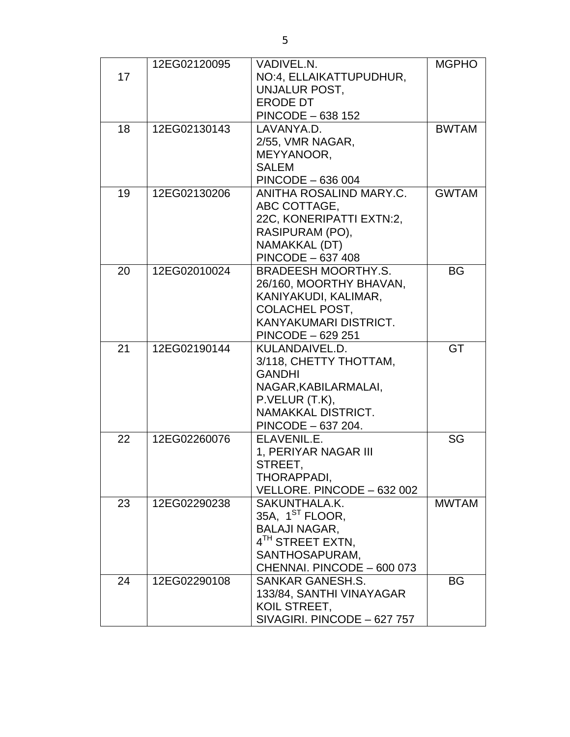|    | 12EG02120095 | <b>VADIVEL.N.</b>            | <b>MGPHO</b> |
|----|--------------|------------------------------|--------------|
| 17 |              | NO:4, ELLAIKATTUPUDHUR,      |              |
|    |              | <b>UNJALUR POST,</b>         |              |
|    |              | <b>ERODE DT</b>              |              |
|    |              | <b>PINCODE - 638 152</b>     |              |
| 18 | 12EG02130143 | LAVANYA.D.                   | <b>BWTAM</b> |
|    |              | 2/55, VMR NAGAR,             |              |
|    |              | MEYYANOOR,                   |              |
|    |              | <b>SALEM</b>                 |              |
|    |              | PINCODE - 636 004            |              |
| 19 | 12EG02130206 | ANITHA ROSALIND MARY.C.      | <b>GWTAM</b> |
|    |              | ABC COTTAGE,                 |              |
|    |              | 22C, KONERIPATTI EXTN:2,     |              |
|    |              | RASIPURAM (PO),              |              |
|    |              | NAMAKKAL (DT)                |              |
|    |              | PINCODE - 637 408            |              |
| 20 | 12EG02010024 | <b>BRADEESH MOORTHY.S.</b>   | <b>BG</b>    |
|    |              | 26/160, MOORTHY BHAVAN,      |              |
|    |              | KANIYAKUDI, KALIMAR,         |              |
|    |              | <b>COLACHEL POST.</b>        |              |
|    |              | KANYAKUMARI DISTRICT.        |              |
|    |              | PINCODE - 629 251            |              |
| 21 | 12EG02190144 | KULANDAIVEL.D.               | GT           |
|    |              | 3/118, CHETTY THOTTAM,       |              |
|    |              | <b>GANDHI</b>                |              |
|    |              | NAGAR, KABILARMALAI,         |              |
|    |              | P.VELUR (T.K),               |              |
|    |              | NAMAKKAL DISTRICT.           |              |
|    |              | PINCODE - 637 204.           |              |
| 22 | 12EG02260076 | ELAVENIL.E.                  | SG           |
|    |              | 1, PERIYAR NAGAR III         |              |
|    |              | STREET,                      |              |
|    |              | THORAPPADI,                  |              |
|    |              | VELLORE. PINCODE - 632 002   |              |
| 23 | 12EG02290238 | SAKUNTHALA.K.                | <b>MWTAM</b> |
|    |              | 35A, 1 <sup>ST</sup> FLOOR,  |              |
|    |              | <b>BALAJI NAGAR,</b>         |              |
|    |              | 4 <sup>TH</sup> STREET EXTN, |              |
|    |              | SANTHOSAPURAM,               |              |
|    |              | CHENNAI. PINCODE - 600 073   |              |
| 24 | 12EG02290108 | <b>SANKAR GANESH.S.</b>      | ΒG           |
|    |              | 133/84, SANTHI VINAYAGAR     |              |
|    |              | KOIL STREET,                 |              |
|    |              | SIVAGIRI. PINCODE - 627 757  |              |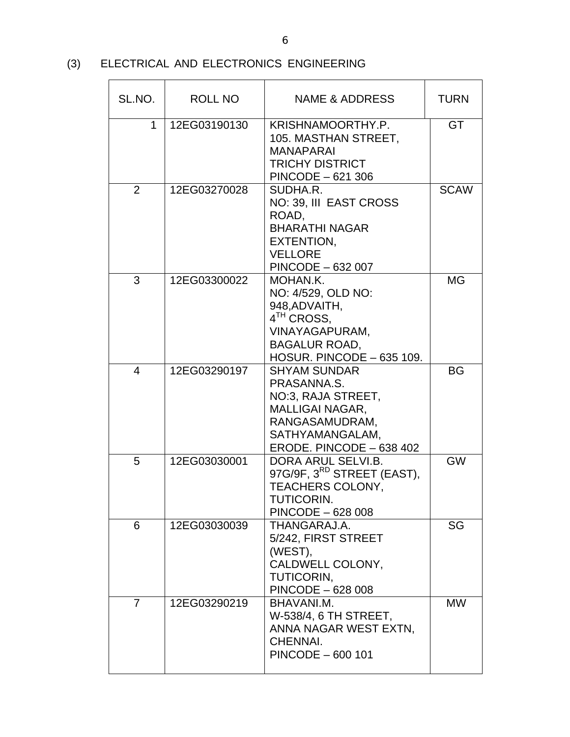## (3) ELECTRICAL AND ELECTRONICS ENGINEERING

| SL.NO.         | ROLL NO      | NAME & ADDRESS                                                                                                                                      | <b>TURN</b> |
|----------------|--------------|-----------------------------------------------------------------------------------------------------------------------------------------------------|-------------|
| 1              | 12EG03190130 | KRISHNAMOORTHY.P.<br>105. MASTHAN STREET,<br><b>MANAPARAI</b><br><b>TRICHY DISTRICT</b><br>PINCODE - 621 306                                        | <b>GT</b>   |
| $\overline{2}$ | 12EG03270028 | SUDHA.R.<br>NO: 39, III EAST CROSS<br>ROAD,<br><b>BHARATHI NAGAR</b><br>EXTENTION,<br><b>VELLORE</b><br>PINCODE - 632 007                           | <b>SCAW</b> |
| 3              | 12EG03300022 | MOHAN.K.<br>NO: 4/529, OLD NO:<br>948, ADVAITH,<br>4 <sup>TH</sup> CROSS,<br>VINAYAGAPURAM,<br><b>BAGALUR ROAD,</b><br>HOSUR. PINCODE - 635 109.    | MG          |
| $\overline{4}$ | 12EG03290197 | <b>SHYAM SUNDAR</b><br>PRASANNA.S.<br>NO:3, RAJA STREET,<br><b>MALLIGAI NAGAR,</b><br>RANGASAMUDRAM,<br>SATHYAMANGALAM,<br>ERODE. PINCODE - 638 402 | BG          |
| 5              | 12EG03030001 | DORA ARUL SELVI.B.<br>97G/9F, 3 <sup>RD</sup> STREET (EAST),<br>TEACHERS COLONY,<br>TUTICORIN.<br>PINCODE - 628 008                                 | <b>GW</b>   |
| 6              | 12EG03030039 | THANGARAJ.A.<br>5/242, FIRST STREET<br>(WEST),<br>CALDWELL COLONY,<br>TUTICORIN,<br>PINCODE - 628 008                                               | SG          |
| $\overline{7}$ | 12EG03290219 | BHAVANI.M.<br>W-538/4, 6 TH STREET,<br>ANNA NAGAR WEST EXTN,<br>CHENNAI.<br>PINCODE - 600 101                                                       | <b>MW</b>   |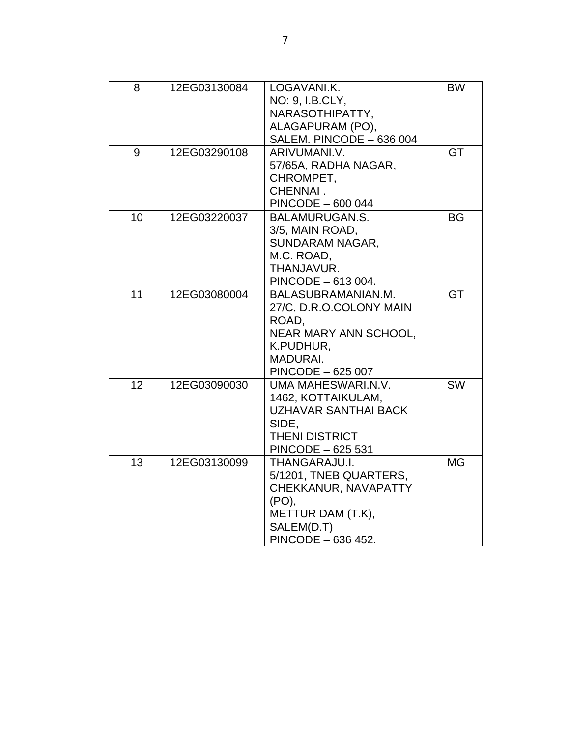| 8  | 12EG03130084 | LOGAVANI.K.                  | <b>BW</b> |
|----|--------------|------------------------------|-----------|
|    |              | NO: 9, I.B.CLY,              |           |
|    |              | NARASOTHIPATTY,              |           |
|    |              | ALAGAPURAM (PO),             |           |
|    |              | SALEM. PINCODE - 636 004     |           |
| 9  | 12EG03290108 | ARIVUMANI.V.                 | GT        |
|    |              | 57/65A, RADHA NAGAR,         |           |
|    |              | CHROMPET,                    |           |
|    |              | CHENNAI.                     |           |
|    |              | PINCODE - 600 044            |           |
| 10 | 12EG03220037 | <b>BALAMURUGAN.S.</b>        | <b>BG</b> |
|    |              | 3/5, MAIN ROAD,              |           |
|    |              | SUNDARAM NAGAR,              |           |
|    |              | M.C. ROAD,                   |           |
|    |              | THANJAVUR.                   |           |
|    |              | PINCODE - 613 004.           |           |
| 11 | 12EG03080004 | BALASUBRAMANIAN.M.           | <b>GT</b> |
|    |              | 27/C, D.R.O.COLONY MAIN      |           |
|    |              | ROAD,                        |           |
|    |              | <b>NEAR MARY ANN SCHOOL,</b> |           |
|    |              | K.PUDHUR,                    |           |
|    |              | <b>MADURAI.</b>              |           |
|    |              | PINCODE - 625 007            |           |
| 12 | 12EG03090030 | UMA MAHESWARI.N.V.           | <b>SW</b> |
|    |              | 1462, KOTTAIKULAM,           |           |
|    |              | <b>UZHAVAR SANTHAI BACK</b>  |           |
|    |              | SIDE,                        |           |
|    |              | <b>THENI DISTRICT</b>        |           |
|    |              | PINCODE - 625 531            |           |
| 13 | 12EG03130099 | THANGARAJU.I.                | <b>MG</b> |
|    |              | 5/1201, TNEB QUARTERS,       |           |
|    |              | CHEKKANUR, NAVAPATTY         |           |
|    |              | (PO),                        |           |
|    |              | METTUR DAM (T.K),            |           |
|    |              | SALEM(D.T)                   |           |
|    |              | PINCODE - 636 452.           |           |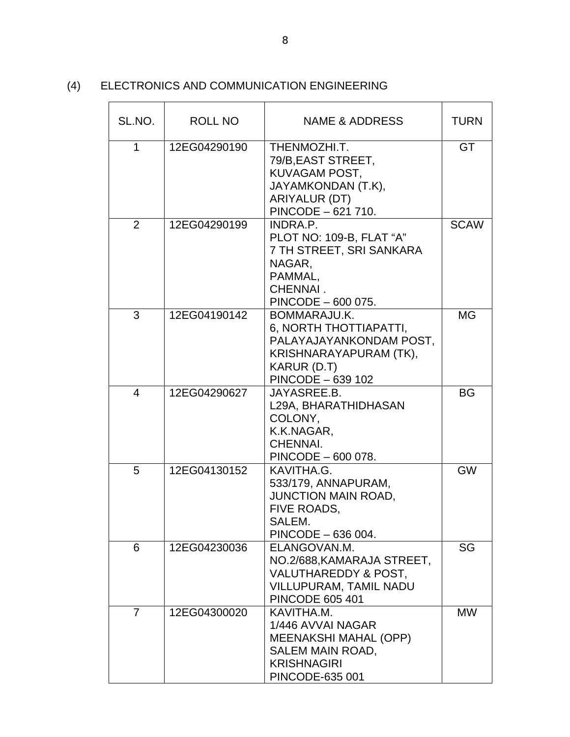#### (4) ELECTRONICS AND COMMUNICATION ENGINEERING

| SL.NO.         | <b>ROLL NO</b> | NAME & ADDRESS                                                                                                                           | <b>TURN</b> |
|----------------|----------------|------------------------------------------------------------------------------------------------------------------------------------------|-------------|
| 1              | 12EG04290190   | THENMOZHI.T.<br>79/B, EAST STREET,<br>KUVAGAM POST,<br>JAYAMKONDAN (T.K),<br>ARIYALUR (DT)<br>PINCODE - 621 710.                         | <b>GT</b>   |
| 2              | 12EG04290199   | INDRA.P.<br>PLOT NO: 109-B, FLAT "A"<br>7 TH STREET, SRI SANKARA<br>NAGAR,<br>PAMMAL,<br>CHENNAI.<br>PINCODE - 600 075.                  | <b>SCAW</b> |
| 3              | 12EG04190142   | BOMMARAJU.K.<br>6, NORTH THOTTIAPATTI,<br>PALAYAJAYANKONDAM POST,<br>KRISHNARAYAPURAM (TK),<br>KARUR (D.T)<br>PINCODE - 639 102          | <b>MG</b>   |
| 4              | 12EG04290627   | JAYASREE.B.<br>L29A, BHARATHIDHASAN<br>COLONY,<br>K.K.NAGAR,<br>CHENNAI.<br>PINCODE - 600 078.                                           | <b>BG</b>   |
| 5              | 12EG04130152   | KAVITHA.G.<br>533/179, ANNAPURAM,<br><b>JUNCTION MAIN ROAD,</b><br>FIVE ROADS,<br>SALEM.<br>PINCODE - 636 004.                           | <b>GW</b>   |
| 6              | 12EG04230036   | ELANGOVAN.M.<br>NO.2/688, KAMARAJA STREET,<br><b>VALUTHAREDDY &amp; POST,</b><br><b>VILLUPURAM, TAMIL NADU</b><br><b>PINCODE 605 401</b> | SG          |
| $\overline{7}$ | 12EG04300020   | KAVITHA.M.<br>1/446 AVVAI NAGAR<br><b>MEENAKSHI MAHAL (OPP)</b><br>SALEM MAIN ROAD,<br><b>KRISHNAGIRI</b><br>PINCODE-635 001             | <b>MW</b>   |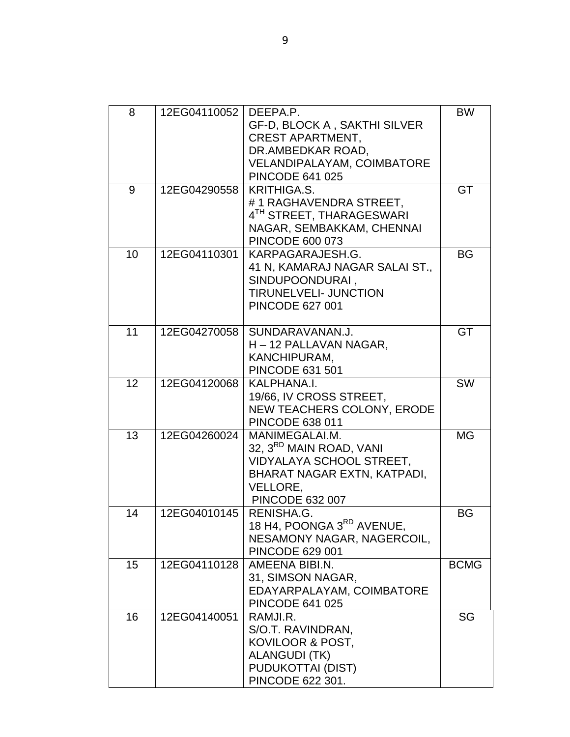| 8  | 12EG04110052              | DEEPA.P.<br><b>GF-D, BLOCK A, SAKTHI SILVER</b><br><b>CREST APARTMENT,</b><br>DR.AMBEDKAR ROAD,<br><b>VELANDIPALAYAM, COIMBATORE</b><br><b>PINCODE 641 025</b> | <b>BW</b>   |
|----|---------------------------|----------------------------------------------------------------------------------------------------------------------------------------------------------------|-------------|
| 9  | 12EG04290558              | KRITHIGA.S.<br>#1 RAGHAVENDRA STREET,<br>4TH STREET, THARAGESWARI<br>NAGAR, SEMBAKKAM, CHENNAI<br><b>PINCODE 600 073</b>                                       | GT          |
| 10 | 12EG04110301              | KARPAGARAJESH.G.<br>41 N, KAMARAJ NAGAR SALAI ST.,<br>SINDUPOONDURAI,<br><b>TIRUNELVELI- JUNCTION</b><br><b>PINCODE 627 001</b>                                | <b>BG</b>   |
| 11 | 12EG04270058              | SUNDARAVANAN.J.<br>H – 12 PALLAVAN NAGAR,<br>KANCHIPURAM,<br><b>PINCODE 631 501</b>                                                                            | GT          |
| 12 | 12EG04120068              | KALPHANA.I.<br>19/66, IV CROSS STREET,<br>NEW TEACHERS COLONY, ERODE<br><b>PINCODE 638 011</b>                                                                 | <b>SW</b>   |
| 13 | 12EG04260024              | MANIMEGALAI.M.<br>32, 3 <sup>RD</sup> MAIN ROAD, VANI<br>VIDYALAYA SCHOOL STREET,<br>BHARAT NAGAR EXTN, KATPADI,<br>VELLORE,<br><b>PINCODE 632 007</b>         | <b>MG</b>   |
| 14 | 12EG04010145   RENISHA.G. | 18 H4, POONGA 3RD AVENUE,<br>NESAMONY NAGAR, NAGERCOIL,<br><b>PINCODE 629 001</b>                                                                              | <b>BG</b>   |
| 15 | 12EG04110128              | AMEENA BIBI.N.<br>31, SIMSON NAGAR,<br>EDAYARPALAYAM, COIMBATORE<br><b>PINCODE 641 025</b>                                                                     | <b>BCMG</b> |
| 16 | 12EG04140051              | RAMJI.R.<br>S/O.T. RAVINDRAN,<br>KOVILOOR & POST,<br><b>ALANGUDI (TK)</b><br><b>PUDUKOTTAI (DIST)</b><br>PINCODE 622 301.                                      | SG          |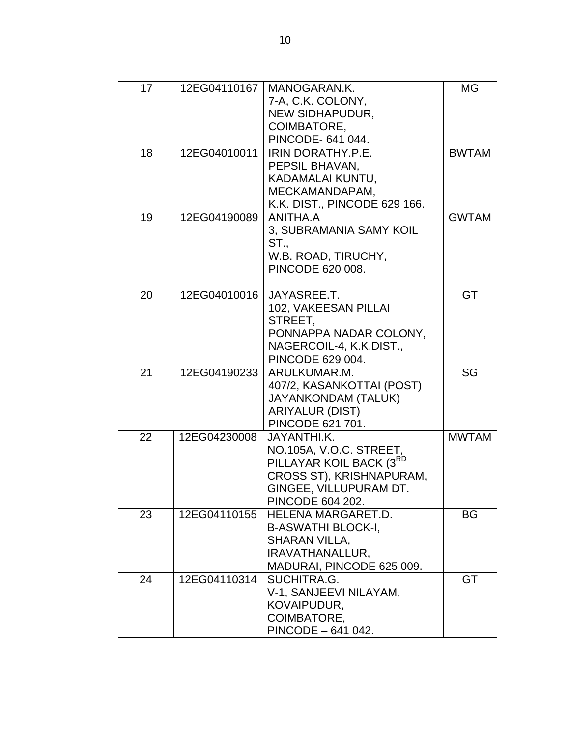| 17 | 12EG04110167 | MANOGARAN.K.<br>7-A, C.K. COLONY,<br>NEW SIDHAPUDUR,<br>COIMBATORE,<br>PINCODE- 641 044.                                                                | <b>MG</b>    |
|----|--------------|---------------------------------------------------------------------------------------------------------------------------------------------------------|--------------|
| 18 | 12EG04010011 | <b>IRIN DORATHY.P.E.</b><br>PEPSIL BHAVAN,<br>KADAMALAI KUNTU,<br>MECKAMANDAPAM,<br>K.K. DIST., PINCODE 629 166.                                        | <b>BWTAM</b> |
| 19 | 12EG04190089 | ANITHA.A<br>3, SUBRAMANIA SAMY KOIL<br>ST.,<br>W.B. ROAD, TIRUCHY,<br>PINCODE 620 008.                                                                  | <b>GWTAM</b> |
| 20 | 12EG04010016 | JAYASREE.T.<br>102, VAKEESAN PILLAI<br>STREET,<br>PONNAPPA NADAR COLONY,<br>NAGERCOIL-4, K.K.DIST.,<br>PINCODE 629 004.                                 | GT           |
| 21 | 12EG04190233 | ARULKUMAR.M.<br>407/2, KASANKOTTAI (POST)<br><b>JAYANKONDAM (TALUK)</b><br><b>ARIYALUR (DIST)</b><br>PINCODE 621 701.                                   | SG           |
| 22 | 12EG04230008 | JAYANTHI.K.<br>NO.105A, V.O.C. STREET,<br>PILLAYAR KOIL BACK (3 <sup>RD</sup><br>CROSS ST), KRISHNAPURAM,<br>GINGEE, VILLUPURAM DT.<br>PINCODE 604 202. | <b>MWTAM</b> |
| 23 | 12EG04110155 | <b>HELENA MARGARET.D.</b><br><b>B-ASWATHI BLOCK-I,</b><br><b>SHARAN VILLA,</b><br>IRAVATHANALLUR,<br>MADURAI, PINCODE 625 009.                          | BG           |
| 24 | 12EG04110314 | SUCHITRA.G.<br>V-1, SANJEEVI NILAYAM,<br>KOVAIPUDUR,<br>COIMBATORE,<br>PINCODE - 641 042.                                                               | <b>GT</b>    |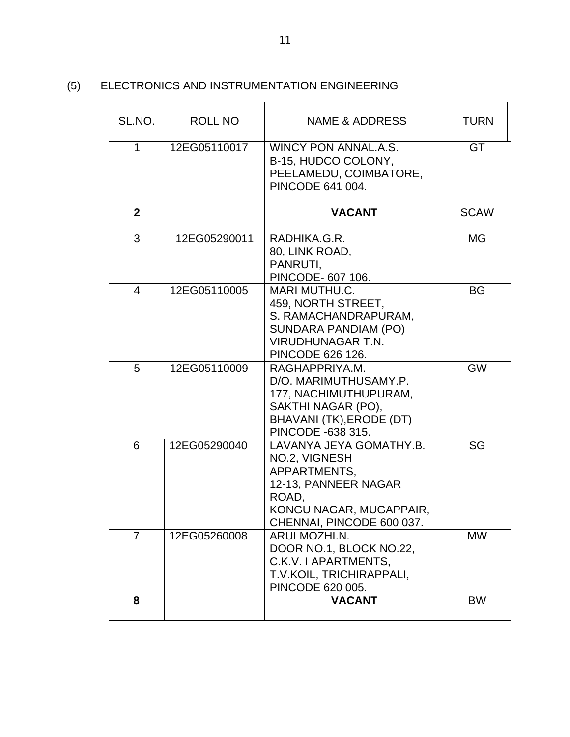### (5) ELECTRONICS AND INSTRUMENTATION ENGINEERING

| SL.NO.         | ROLL NO      | NAME & ADDRESS                                                                                                                                           | <b>TURN</b> |
|----------------|--------------|----------------------------------------------------------------------------------------------------------------------------------------------------------|-------------|
| 1              | 12EG05110017 | <b>WINCY PON ANNAL.A.S.</b><br>B-15, HUDCO COLONY,<br>PEELAMEDU, COIMBATORE,<br>PINCODE 641 004.                                                         | <b>GT</b>   |
| $\mathbf{2}$   |              | <b>VACANT</b>                                                                                                                                            | <b>SCAW</b> |
| 3              | 12EG05290011 | RADHIKA.G.R.<br>80, LINK ROAD,<br>PANRUTI,<br>PINCODE- 607 106.                                                                                          | МG          |
| 4              | 12EG05110005 | <b>MARI MUTHU.C.</b><br>459, NORTH STREET,<br>S. RAMACHANDRAPURAM,<br><b>SUNDARA PANDIAM (PO)</b><br><b>VIRUDHUNAGAR T.N.</b><br><b>PINCODE 626 126.</b> | <b>BG</b>   |
| 5              | 12EG05110009 | RAGHAPPRIYA.M.<br>D/O. MARIMUTHUSAMY.P.<br>177, NACHIMUTHUPURAM,<br>SAKTHI NAGAR (PO),<br>BHAVANI (TK), ERODE (DT)<br>PINCODE -638 315.                  | <b>GW</b>   |
| 6              | 12EG05290040 | LAVANYA JEYA GOMATHY.B.<br>NO.2, VIGNESH<br>APPARTMENTS,<br>12-13, PANNEER NAGAR<br>ROAD,<br>KONGU NAGAR, MUGAPPAIR,<br>CHENNAI, PINCODE 600 037.        | SG          |
| $\overline{7}$ | 12EG05260008 | ARULMOZHI.N.<br>DOOR NO.1, BLOCK NO.22,<br>C.K.V. I APARTMENTS,<br>T.V.KOIL, TRICHIRAPPALI,<br>PINCODE 620 005.                                          | <b>MW</b>   |
| 8              |              | <b>VACANT</b>                                                                                                                                            | <b>BW</b>   |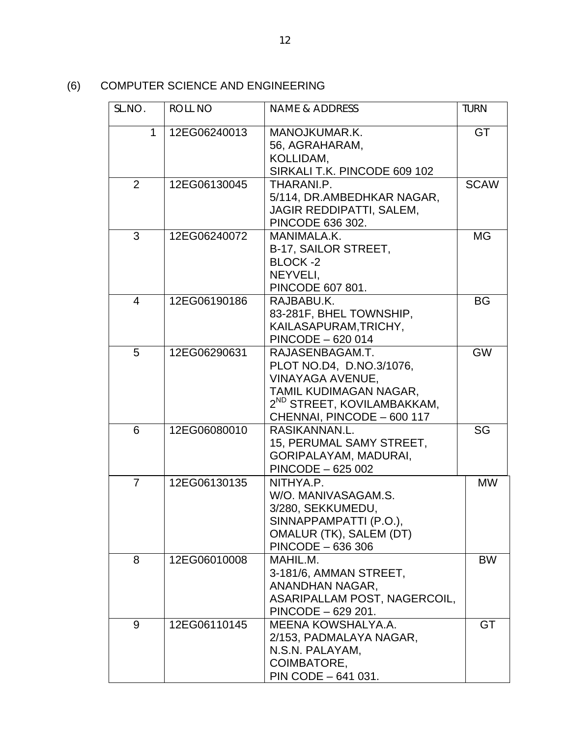(6) COMPUTER SCIENCE AND ENGINEERING

| SL.NO.         | ROLL NO      | <b>NAME &amp; ADDRESS</b>                                                                                                                                         | <b>TURN</b> |
|----------------|--------------|-------------------------------------------------------------------------------------------------------------------------------------------------------------------|-------------|
| 1              | 12EG06240013 | MANOJKUMAR.K.<br>56, AGRAHARAM,<br>KOLLIDAM,<br>SIRKALI T.K. PINCODE 609 102                                                                                      | <b>GT</b>   |
| 2              | 12EG06130045 | THARANI.P.<br>5/114, DR.AMBEDHKAR NAGAR,<br>JAGIR REDDIPATTI, SALEM,<br>PINCODE 636 302.                                                                          | <b>SCAW</b> |
| 3              | 12EG06240072 | MANIMALA.K.<br>B-17, SAILOR STREET,<br><b>BLOCK-2</b><br>NEYVELI,<br>PINCODE 607 801.                                                                             | <b>MG</b>   |
| $\overline{4}$ | 12EG06190186 | RAJBABU.K.<br>83-281F, BHEL TOWNSHIP,<br>KAILASAPURAM, TRICHY,<br>PINCODE - 620 014                                                                               | <b>BG</b>   |
| 5              | 12EG06290631 | RAJASENBAGAM.T.<br>PLOT NO.D4, D.NO.3/1076,<br>VINAYAGA AVENUE,<br>TAMIL KUDIMAGAN NAGAR,<br>2 <sup>ND</sup> STREET, KOVILAMBAKKAM,<br>CHENNAI, PINCODE - 600 117 | <b>GW</b>   |
| 6              | 12EG06080010 | RASIKANNAN.L.<br>15, PERUMAL SAMY STREET,<br>GORIPALAYAM, MADURAI,<br>PINCODE - 625 002                                                                           | SG          |
| $\overline{7}$ | 12EG06130135 | NITHYA.P.<br>W/O. MANIVASAGAM.S.<br>3/280, SEKKUMEDU,<br>SINNAPPAMPATTI (P.O.),<br>OMALUR (TK), SALEM (DT)<br>PINCODE - 636 306                                   | <b>MW</b>   |
| 8              | 12EG06010008 | MAHIL.M.<br>3-181/6, AMMAN STREET,<br>ANANDHAN NAGAR,<br>ASARIPALLAM POST, NAGERCOIL,<br>PINCODE - 629 201.                                                       | <b>BW</b>   |
| 9              | 12EG06110145 | MEENA KOWSHALYA.A.<br>2/153, PADMALAYA NAGAR,<br>N.S.N. PALAYAM,<br>COIMBATORE,<br>PIN CODE - 641 031.                                                            | GT          |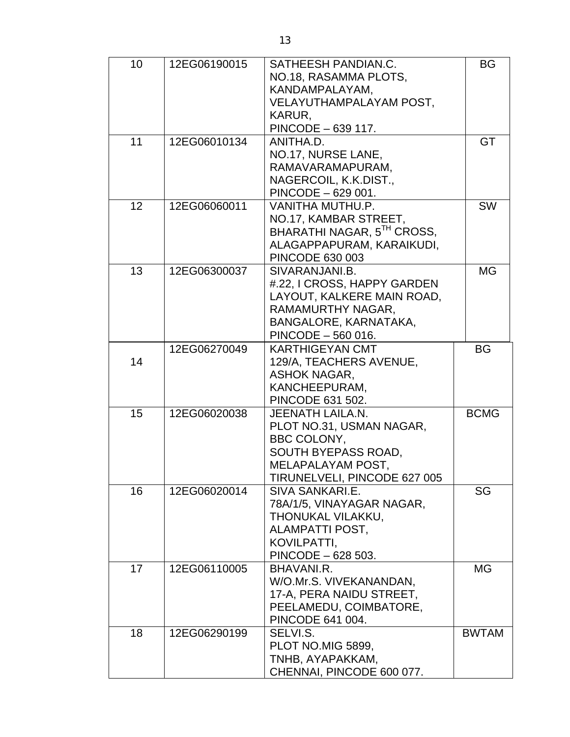| 10 | 12EG06190015 | SATHEESH PANDIAN.C.          | <b>BG</b>    |
|----|--------------|------------------------------|--------------|
|    |              | NO.18, RASAMMA PLOTS,        |              |
|    |              | KANDAMPALAYAM,               |              |
|    |              | VELAYUTHAMPALAYAM POST,      |              |
|    |              | KARUR,                       |              |
|    |              | PINCODE - 639 117.           |              |
| 11 | 12EG06010134 | ANITHA.D.                    | GT           |
|    |              | NO.17, NURSE LANE,           |              |
|    |              | RAMAVARAMAPURAM,             |              |
|    |              | NAGERCOIL, K.K.DIST.,        |              |
|    |              | PINCODE - 629 001.           |              |
| 12 | 12EG06060011 | VANITHA MUTHU.P.             | <b>SW</b>    |
|    |              | NO.17, KAMBAR STREET,        |              |
|    |              | BHARATHI NAGAR, 5TH CROSS,   |              |
|    |              | ALAGAPPAPURAM, KARAIKUDI,    |              |
|    |              | <b>PINCODE 630 003</b>       |              |
| 13 | 12EG06300037 | SIVARANJANI.B.               | <b>MG</b>    |
|    |              | #.22, I CROSS, HAPPY GARDEN  |              |
|    |              | LAYOUT, KALKERE MAIN ROAD,   |              |
|    |              | RAMAMURTHY NAGAR,            |              |
|    |              | BANGALORE, KARNATAKA,        |              |
|    |              | PINCODE - 560 016.           |              |
|    | 12EG06270049 | <b>KARTHIGEYAN CMT</b>       | <b>BG</b>    |
| 14 |              | 129/A, TEACHERS AVENUE,      |              |
|    |              | <b>ASHOK NAGAR,</b>          |              |
|    |              | KANCHEEPURAM,                |              |
|    |              | PINCODE 631 502.             |              |
| 15 | 12EG06020038 | <b>JEENATH LAILA.N.</b>      | <b>BCMG</b>  |
|    |              | PLOT NO.31, USMAN NAGAR,     |              |
|    |              | BBC COLONY,                  |              |
|    |              | SOUTH BYEPASS ROAD,          |              |
|    |              | MELAPALAYAM POST,            |              |
|    |              | TIRUNELVELI, PINCODE 627 005 |              |
| 16 | 12EG06020014 | SIVA SANKARI.E.              | SG           |
|    |              | 78A/1/5, VINAYAGAR NAGAR,    |              |
|    |              | THONUKAL VILAKKU,            |              |
|    |              | ALAMPATTI POST,              |              |
|    |              | KOVILPATTI,                  |              |
|    |              | PINCODE - 628 503.           |              |
| 17 | 12EG06110005 | BHAVANI.R.                   | МG           |
|    |              | W/O.Mr.S. VIVEKANANDAN,      |              |
|    |              | 17-A, PERA NAIDU STREET,     |              |
|    |              | PEELAMEDU, COIMBATORE,       |              |
|    |              | PINCODE 641 004.             |              |
| 18 | 12EG06290199 | SELVI.S.                     | <b>BWTAM</b> |
|    |              | PLOT NO.MIG 5899,            |              |
|    |              | TNHB, AYAPAKKAM,             |              |
|    |              | CHENNAI, PINCODE 600 077.    |              |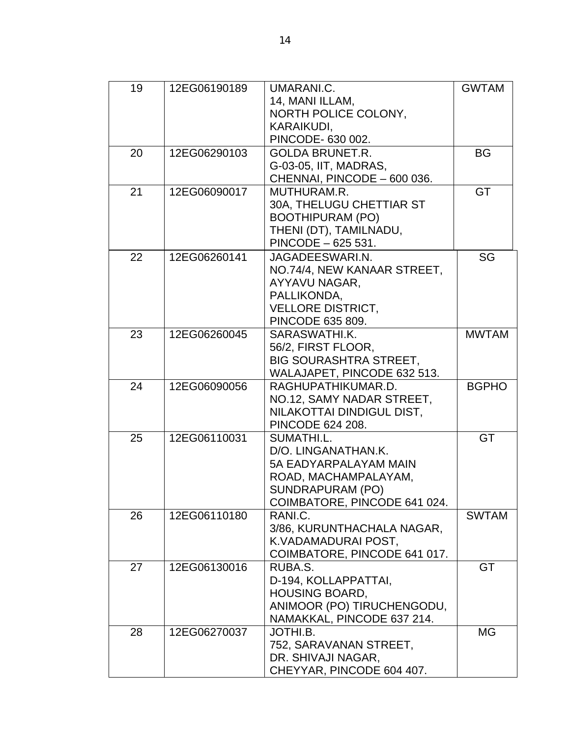| 19 | 12EG06190189 | UMARANI.C.                    | <b>GWTAM</b> |
|----|--------------|-------------------------------|--------------|
|    |              | 14, MANI ILLAM,               |              |
|    |              | NORTH POLICE COLONY,          |              |
|    |              | KARAIKUDI.                    |              |
|    |              | PINCODE- 630 002.             |              |
| 20 | 12EG06290103 | <b>GOLDA BRUNET.R.</b>        | <b>BG</b>    |
|    |              | G-03-05, IIT, MADRAS,         |              |
|    |              | CHENNAI, PINCODE - 600 036.   |              |
| 21 | 12EG06090017 | MUTHURAM.R.                   | GT           |
|    |              | 30A, THELUGU CHETTIAR ST      |              |
|    |              | <b>BOOTHIPURAM (PO)</b>       |              |
|    |              | THENI (DT), TAMILNADU,        |              |
|    |              | PINCODE - 625 531.            |              |
|    |              |                               |              |
| 22 | 12EG06260141 | JAGADEESWARI.N.               | SG           |
|    |              | NO.74/4, NEW KANAAR STREET,   |              |
|    |              | AYYAVU NAGAR,                 |              |
|    |              | PALLIKONDA,                   |              |
|    |              | <b>VELLORE DISTRICT,</b>      |              |
|    |              | PINCODE 635 809.              |              |
| 23 | 12EG06260045 | SARASWATHI.K.                 | <b>MWTAM</b> |
|    |              | 56/2, FIRST FLOOR,            |              |
|    |              | <b>BIG SOURASHTRA STREET,</b> |              |
|    |              | WALAJAPET, PINCODE 632 513.   |              |
| 24 | 12EG06090056 | RAGHUPATHIKUMAR.D.            | <b>BGPHO</b> |
|    |              | NO.12, SAMY NADAR STREET,     |              |
|    |              | NILAKOTTAI DINDIGUL DIST,     |              |
|    |              | <b>PINCODE 624 208.</b>       |              |
| 25 | 12EG06110031 | SUMATHI.L.                    | GT           |
|    |              | D/O. LINGANATHAN.K.           |              |
|    |              | 5A EADYARPALAYAM MAIN         |              |
|    |              | ROAD, MACHAMPALAYAM,          |              |
|    |              | SUNDRAPURAM (PO)              |              |
|    |              | COIMBATORE, PINCODE 641 024.  |              |
| 26 | 12EG06110180 | RANI.C.                       | <b>SWTAM</b> |
|    |              | 3/86, KURUNTHACHALA NAGAR,    |              |
|    |              | K.VADAMADURAI POST,           |              |
|    |              | COIMBATORE, PINCODE 641 017.  |              |
| 27 | 12EG06130016 | RUBA.S.                       | GT           |
|    |              | D-194, KOLLAPPATTAI,          |              |
|    |              | <b>HOUSING BOARD,</b>         |              |
|    |              | ANIMOOR (PO) TIRUCHENGODU,    |              |
|    |              | NAMAKKAL, PINCODE 637 214.    |              |
| 28 | 12EG06270037 | JOTHI.B.                      | MG           |
|    |              | 752, SARAVANAN STREET,        |              |
|    |              | DR. SHIVAJI NAGAR,            |              |
|    |              | CHEYYAR, PINCODE 604 407.     |              |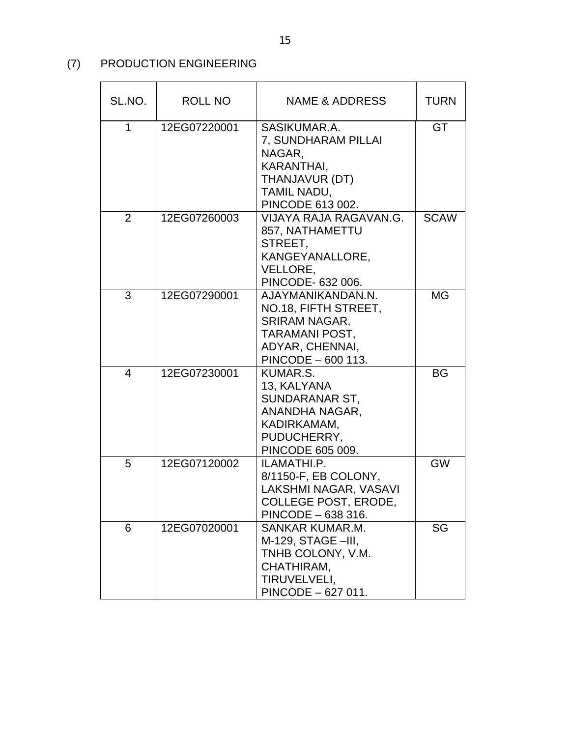## (7) PRODUCTION ENGINEERING

| SL.NO. | <b>ROLL NO</b> | NAME & ADDRESS                                                                                                                      | <b>TURN</b> |
|--------|----------------|-------------------------------------------------------------------------------------------------------------------------------------|-------------|
| 1      | 12EG07220001   | SASIKUMAR.A.<br>7, SUNDHARAM PILLAI<br>NAGAR,<br>KARANTHAI,<br>THANJAVUR (DT)<br>TAMIL NADU,<br>PINCODE 613 002.                    | GT          |
| 2      | 12EG07260003   | VIJAYA RAJA RAGAVAN.G.<br>857, NATHAMETTU<br>STREET,<br>KANGEYANALLORE,<br>VELLORE,<br>PINCODE- 632 006.                            | <b>SCAW</b> |
| 3      | 12EG07290001   | AJAYMANIKANDAN.N.<br>NO.18, FIFTH STREET,<br><b>SRIRAM NAGAR,</b><br><b>TARAMANI POST,</b><br>ADYAR, CHENNAI,<br>PINCODE - 600 113. | MG          |
| 4      | 12EG07230001   | KUMAR.S.<br>13, KALYANA<br>SUNDARANAR ST,<br>ANANDHA NAGAR,<br>KADIRKAMAM,<br>PUDUCHERRY,<br>PINCODE 605 009.                       | <b>BG</b>   |
| 5      | 12EG07120002   | ILAMATHI.P.<br>8/1150-F, EB COLONY,<br>LAKSHMI NAGAR, VASAVI<br>COLLEGE POST, ERODE,<br>PINCODE - 638 316.                          | <b>GW</b>   |
| 6      | 12EG07020001   | SANKAR KUMAR.M.<br>M-129, STAGE -III,<br>TNHB COLONY, V.M.<br>CHATHIRAM,<br>TIRUVELVELI,<br>PINCODE - 627 011.                      | SG          |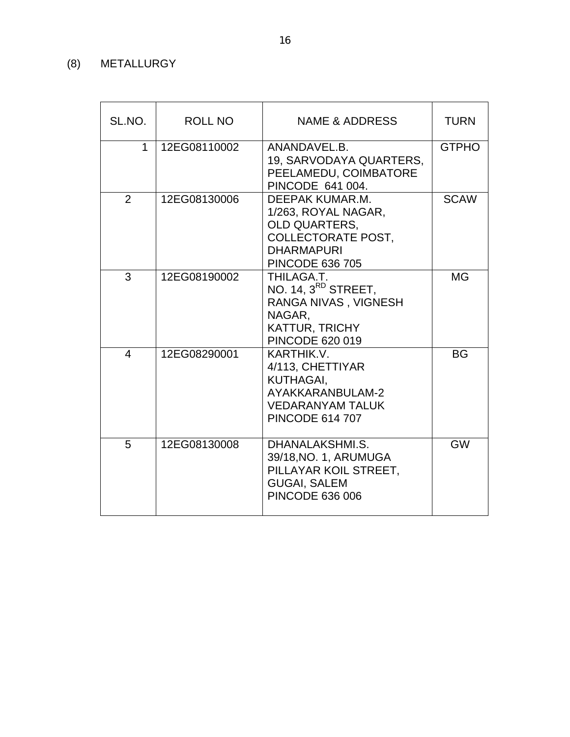## (8) METALLURGY

| SL.NO.         | <b>ROLL NO</b> | <b>NAME &amp; ADDRESS</b>                                                                                                                  | <b>TURN</b>  |
|----------------|----------------|--------------------------------------------------------------------------------------------------------------------------------------------|--------------|
| $\mathbf{1}$   | 12EG08110002   | ANANDAVEL.B.<br>19, SARVODAYA QUARTERS,<br>PEELAMEDU, COIMBATORE<br>PINCODE 641 004.                                                       | <b>GTPHO</b> |
| 2              | 12EG08130006   | DEEPAK KUMAR.M.<br>1/263, ROYAL NAGAR,<br><b>OLD QUARTERS,</b><br><b>COLLECTORATE POST,</b><br><b>DHARMAPURI</b><br><b>PINCODE 636 705</b> | <b>SCAW</b>  |
| 3              | 12EG08190002   | THILAGA.T.<br>NO. 14, 3 <sup>RD</sup> STREET,<br>RANGA NIVAS, VIGNESH<br>NAGAR.<br><b>KATTUR, TRICHY</b><br><b>PINCODE 620 019</b>         | <b>MG</b>    |
| $\overline{4}$ | 12EG08290001   | KARTHIK.V.<br>4/113, CHETTIYAR<br>KUTHAGAI,<br>AYAKKARANBULAM-2<br><b>VEDARANYAM TALUK</b><br><b>PINCODE 614 707</b>                       | <b>BG</b>    |
| 5              | 12EG08130008   | DHANALAKSHMI.S.<br>39/18, NO. 1, ARUMUGA<br>PILLAYAR KOIL STREET,<br><b>GUGAI, SALEM</b><br><b>PINCODE 636 006</b>                         | <b>GW</b>    |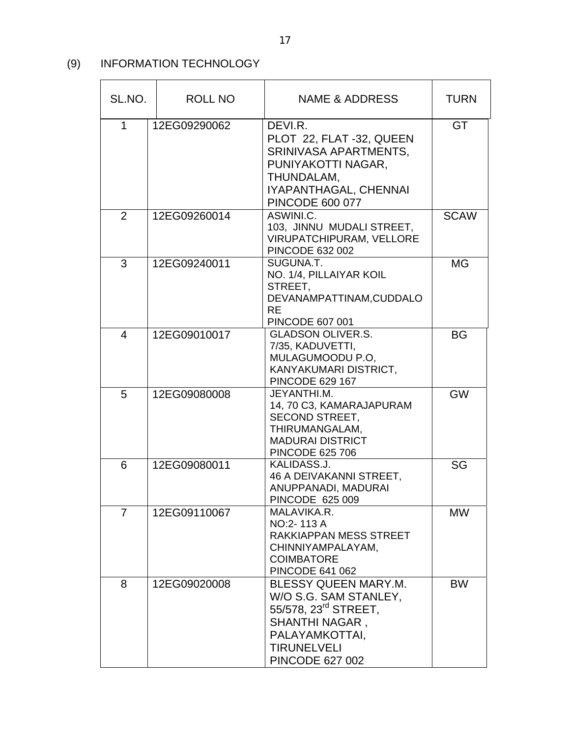## (9) INFORMATION TECHNOLOGY

| SL.NO. | ROLL NO      | NAME & ADDRESS                                                                                                                                                        | <b>TURN</b> |
|--------|--------------|-----------------------------------------------------------------------------------------------------------------------------------------------------------------------|-------------|
| 1      | 12EG09290062 | DEVI.R.<br>PLOT 22, FLAT -32, QUEEN<br>SRINIVASA APARTMENTS,<br>PUNIYAKOTTI NAGAR,<br>THUNDALAM,<br>IYAPANTHAGAL, CHENNAI<br><b>PINCODE 600 077</b>                   | GT          |
| 2      | 12EG09260014 | ASWINI.C.<br>103, JINNU MUDALI STREET,<br><b>VIRUPATCHIPURAM, VELLORE</b><br>PINCODE 632 002                                                                          | <b>SCAW</b> |
| 3      | 12EG09240011 | SUGUNA.T.<br>NO. 1/4, PILLAIYAR KOIL<br>STREET,<br>DEVANAMPATTINAM, CUDDALO<br><b>RE</b><br>PINCODE 607 001                                                           | <b>MG</b>   |
| 4      | 12EG09010017 | <b>GLADSON OLIVER.S.</b><br>7/35, KADUVETTI,<br>MULAGUMOODU P.O,<br>KANYAKUMARI DISTRICT,<br><b>PINCODE 629 167</b>                                                   | <b>BG</b>   |
| 5      | 12EG09080008 | JEYANTHI.M.<br>14, 70 C3, KAMARAJAPURAM<br><b>SECOND STREET,</b><br>THIRUMANGALAM,<br><b>MADURAI DISTRICT</b><br><b>PINCODE 625 706</b>                               | <b>GW</b>   |
| 6      | 12EG09080011 | KALIDASS.J.<br>46 A DEIVAKANNI STREET,<br>ANUPPANADI, MADURAI<br>PINCODE 625 009                                                                                      | SG          |
| 7      | 12EG09110067 | MALAVIKA.R.<br>NO:2-113 A<br>RAKKIAPPAN MESS STREET<br>CHINNIYAMPALAYAM,<br><b>COIMBATORE</b><br><b>PINCODE 641 062</b>                                               | <b>MW</b>   |
| 8      | 12EG09020008 | BLESSY QUEEN MARY.M.<br>W/O S.G. SAM STANLEY,<br>55/578, 23 <sup>rd</sup> STREET,<br>SHANTHI NAGAR,<br>PALAYAMKOTTAI,<br><b>TIRUNELVELI</b><br><b>PINCODE 627 002</b> | <b>BW</b>   |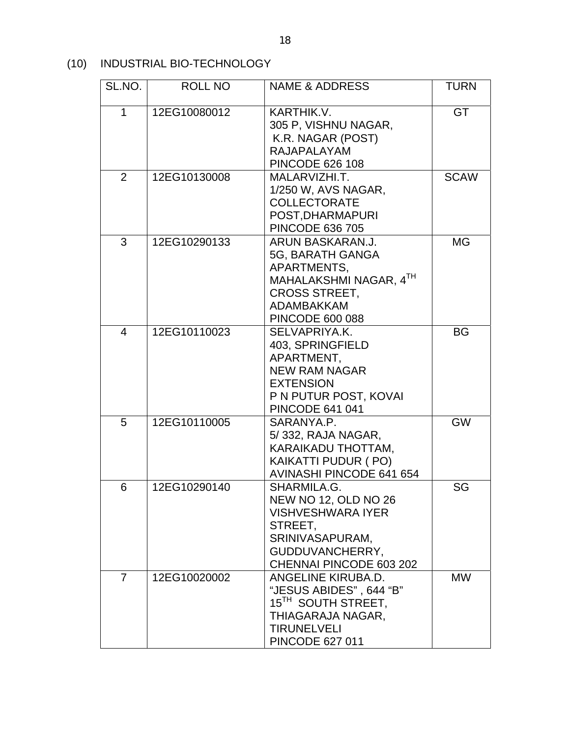(10) INDUSTRIAL BIO-TECHNOLOGY

| SL.NO.         | <b>ROLL NO</b> | <b>NAME &amp; ADDRESS</b>                                                                                                                            | <b>TURN</b> |
|----------------|----------------|------------------------------------------------------------------------------------------------------------------------------------------------------|-------------|
| 1              | 12EG10080012   | KARTHIK.V.<br>305 P, VISHNU NAGAR,<br>K.R. NAGAR (POST)<br><b>RAJAPALAYAM</b><br><b>PINCODE 626 108</b>                                              | GT          |
| $\overline{2}$ | 12EG10130008   | MALARVIZHI.T.<br>1/250 W, AVS NAGAR,<br><b>COLLECTORATE</b><br>POST, DHARMAPURI<br><b>PINCODE 636 705</b>                                            | <b>SCAW</b> |
| 3              | 12EG10290133   | ARUN BASKARAN.J.<br>5G, BARATH GANGA<br>APARTMENTS,<br>MAHALAKSHMI NAGAR, 4TH<br><b>CROSS STREET,</b><br><b>ADAMBAKKAM</b><br>PINCODE 600 088        | <b>MG</b>   |
| 4              | 12EG10110023   | SELVAPRIYA.K.<br>403, SPRINGFIELD<br>APARTMENT,<br><b>NEW RAM NAGAR</b><br><b>EXTENSION</b><br>P N PUTUR POST, KOVAI<br><b>PINCODE 641 041</b>       | <b>BG</b>   |
| 5              | 12EG10110005   | SARANYA.P.<br>5/332, RAJA NAGAR,<br>KARAIKADU THOTTAM,<br>KAIKATTI PUDUR (PO)<br><b>AVINASHI PINCODE 641 654</b>                                     | <b>GW</b>   |
| 6              | 12EG10290140   | SHARMILA.G.<br><b>NEW NO 12, OLD NO 26</b><br><b>VISHVESHWARA IYER</b><br>STREET.<br>SRINIVASAPURAM,<br>GUDDUVANCHERRY,<br>CHENNAI PINCODE 603 202   | SG          |
| 7              | 12EG10020002   | ANGELINE KIRUBA.D.<br>"JESUS ABIDES", 644 "B"<br>15 <sup>TH</sup> SOUTH STREET,<br>THIAGARAJA NAGAR,<br><b>TIRUNELVELI</b><br><b>PINCODE 627 011</b> | <b>MW</b>   |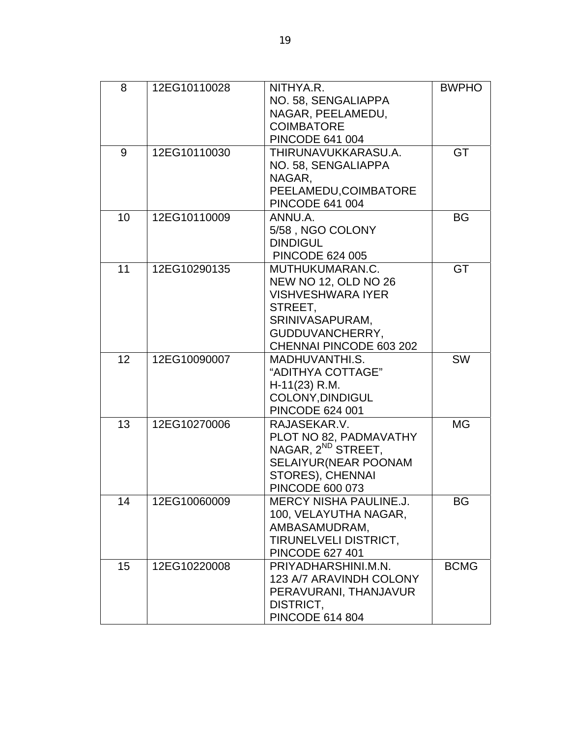| 8  | 12EG10110028 | NITHYA.R.                      | <b>BWPHO</b> |
|----|--------------|--------------------------------|--------------|
|    |              | NO. 58, SENGALIAPPA            |              |
|    |              | NAGAR, PEELAMEDU,              |              |
|    |              | <b>COIMBATORE</b>              |              |
|    |              | <b>PINCODE 641 004</b>         |              |
| 9  | 12EG10110030 | THIRUNAVUKKARASU.A.            | GT           |
|    |              | NO. 58, SENGALIAPPA            |              |
|    |              | NAGAR,                         |              |
|    |              | PEELAMEDU, COIMBATORE          |              |
|    |              | <b>PINCODE 641 004</b>         |              |
| 10 | 12EG10110009 | ANNU.A.                        | <b>BG</b>    |
|    |              | 5/58, NGO COLONY               |              |
|    |              | <b>DINDIGUL</b>                |              |
|    |              | <b>PINCODE 624 005</b>         |              |
| 11 | 12EG10290135 | MUTHUKUMARAN.C.                | GT           |
|    |              | NEW NO 12, OLD NO 26           |              |
|    |              | <b>VISHVESHWARA IYER</b>       |              |
|    |              | STREET,                        |              |
|    |              | SRINIVASAPURAM,                |              |
|    |              | GUDDUVANCHERRY,                |              |
|    |              | CHENNAI PINCODE 603 202        |              |
| 12 | 12EG10090007 | MADHUVANTHI.S.                 | <b>SW</b>    |
|    |              | "ADITHYA COTTAGE"              |              |
|    |              | $H-11(23) R.M.$                |              |
|    |              | COLONY, DINDIGUL               |              |
|    |              | <b>PINCODE 624 001</b>         |              |
| 13 | 12EG10270006 | RAJASEKAR.V.                   | <b>MG</b>    |
|    |              | PLOT NO 82, PADMAVATHY         |              |
|    |              | NAGAR, 2 <sup>ND</sup> STREET, |              |
|    |              | SELAIYUR (NEAR POONAM          |              |
|    |              | STORES), CHENNAI               |              |
|    |              | <b>PINCODE 600 073</b>         |              |
| 14 | 12EG10060009 | <b>MERCY NISHA PAULINE.J.</b>  | BG           |
|    |              | 100, VELAYUTHA NAGAR,          |              |
|    |              | AMBASAMUDRAM,                  |              |
|    |              | <b>TIRUNELVELI DISTRICT,</b>   |              |
|    |              | <b>PINCODE 627 401</b>         |              |
| 15 | 12EG10220008 | PRIYADHARSHINI.M.N.            | <b>BCMG</b>  |
|    |              | 123 A/7 ARAVINDH COLONY        |              |
|    |              | PERAVURANI, THANJAVUR          |              |
|    |              | DISTRICT,                      |              |
|    |              | <b>PINCODE 614 804</b>         |              |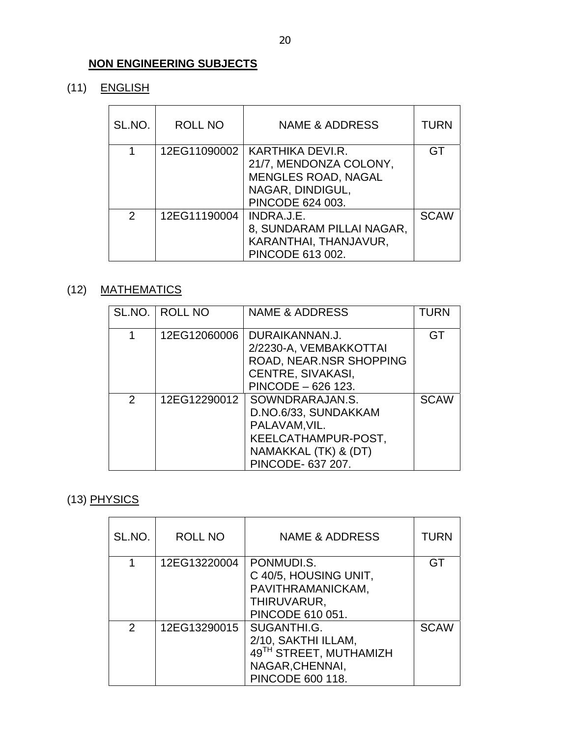### **NON ENGINEERING SUBJECTS**

(11) ENGLISH

| SL.NO.        | ROLL NO      | <b>NAME &amp; ADDRESS</b>                                                                                        | TURN        |
|---------------|--------------|------------------------------------------------------------------------------------------------------------------|-------------|
|               | 12EG11090002 | KARTHIKA DEVI.R.<br>21/7, MENDONZA COLONY,<br><b>MENGLES ROAD, NAGAL</b><br>NAGAR, DINDIGUL,<br>PINCODE 624 003. | GT          |
| $\mathcal{P}$ | 12EG11190004 | INDRA.J.E.<br>8, SUNDARAM PILLAI NAGAR,<br>KARANTHAI, THANJAVUR,<br>PINCODE 613 002.                             | <b>SCAW</b> |

## (12) MATHEMATICS

|   | SL.NO.   ROLL NO | <b>NAME &amp; ADDRESS</b>                                                                                                    | <b>TURN</b> |
|---|------------------|------------------------------------------------------------------------------------------------------------------------------|-------------|
|   | 12EG12060006     | DURAIKANNAN.J.<br>2/2230-A, VEMBAKKOTTAI<br>ROAD, NEAR.NSR SHOPPING<br>CENTRE, SIVAKASI,<br>PINCODE - 626 123.               | GT          |
| 2 | 12EG12290012     | SOWNDRARAJAN.S.<br>D.NO.6/33, SUNDAKKAM<br>PALAVAM, VIL.<br>KEELCATHAMPUR-POST,<br>NAMAKKAL (TK) & (DT)<br>PINCODE- 637 207. | <b>SCAW</b> |

# (13) PHYSICS

| SL.NO. | ROLL NO      | NAME & ADDRESS                                                                                             | <b>TURN</b> |
|--------|--------------|------------------------------------------------------------------------------------------------------------|-------------|
|        | 12EG13220004 | PONMUDI.S.<br>C 40/5, HOUSING UNIT,<br>PAVITHRAMANICKAM,<br>THIRUVARUR,<br>PINCODE 610 051.                | GT          |
| 2      | 12EG13290015 | SUGANTHI.G.<br>2/10, SAKTHI ILLAM,<br>49TH STREET, MUTHAMIZH<br>NAGAR, CHENNAI,<br><b>PINCODE 600 118.</b> | <b>SCAW</b> |